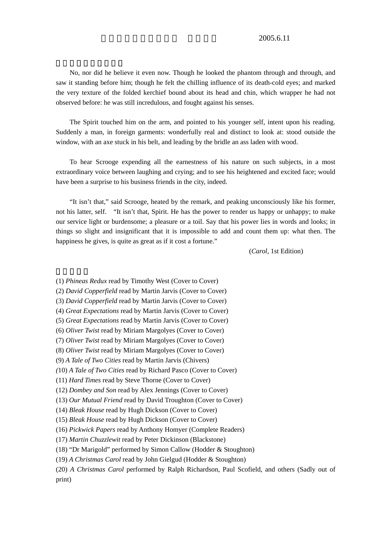No, nor did he believe it even now. Though he looked the phantom through and through, and saw it standing before him; though he felt the chilling influence of its death-cold eyes; and marked the very texture of the folded kerchief bound about its head and chin, which wrapper he had not observed before: he was still incredulous, and fought against his senses.

The Spirit touched him on the arm, and pointed to his younger self, intent upon his reading. Suddenly a man, in foreign garments: wonderfully real and distinct to look at: stood outside the window, with an axe stuck in his belt, and leading by the bridle an ass laden with wood.

To hear Scrooge expending all the earnestness of his nature on such subjects, in a most extraordinary voice between laughing and crying; and to see his heightened and excited face; would have been a surprise to his business friends in the city, indeed.

"It isn't that," said Scrooge, heated by the remark, and peaking unconsciously like his former, not his latter, self. "It isn't that, Spirit. He has the power to render us happy or unhappy; to make our service light or burdensome; a pleasure or a toil. Say that his power lies in words and looks; in things so slight and insignificant that it is impossible to add and count them up: what then. The happiness he gives, is quite as great as if it cost a fortune."

(*Carol*, 1st Edition)

- (1) *Phineas Redux* read by Timothy West (Cover to Cover)
- (2) *David Copperfield* read by Martin Jarvis (Cover to Cover)

(3) *David Copperfield* read by Martin Jarvis (Cover to Cover)

(4) *Great Expectations* read by Martin Jarvis (Cover to Cover)

- (5) *Great Expectations* read by Martin Jarvis (Cover to Cover)
- (6) *Oliver Twist* read by Miriam Margolyes (Cover to Cover)
- (7) *Oliver Twist* read by Miriam Margolyes (Cover to Cover)
- (8) *Oliver Twist* read by Miriam Margolyes (Cover to Cover)
- (9) *A Tale of Two Cities* read by Martin Jarvis (Chivers)
- *(*10) *A Tale of Two Cities* read by Richard Pasco (Cover to Cover)
- (11) *Hard Times* read by Steve Thorne (Cover to Cover)
- (12) *Dombey and Son* read by Alex Jennings (Cover to Cover)
- (13) *Our Mutual Friend* read by David Troughton (Cover to Cover)
- (14) *Bleak House* read by Hugh Dickson (Cover to Cover)
- (15) *Bleak House* read by Hugh Dickson (Cover to Cover)
- (16) *Pickwick Papers* read by Anthony Homyer (Complete Readers)
- (17) *Martin Chuzzlewit* read by Peter Dickinson (Blackstone)
- (18) "Dr Marigold" performed by Simon Callow (Hodder & Stoughton)
- (19) *A Christmas Carol* read by John Gielgud (Hodder & Stoughton)
- (20) *A Christmas Carol* performed by Ralph Richardson, Paul Scofield, and others (Sadly out of print)